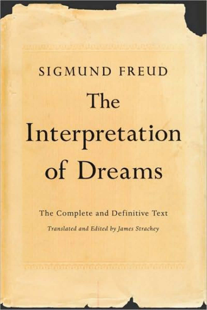### **SIGMUND FREUD** The

# Interpretation of Dreams

The Complete and Definitive Text Translated and Edited by James Strachey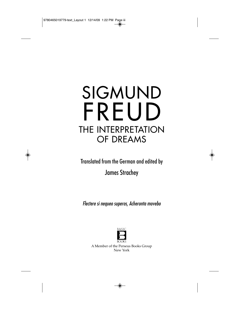## SIGMUND FREUD THE INTERPRETATION OF DREAMS

### Translated from the German and edited by James Strachey

Flectere si nequeo superos, Acheronta movebo



A Member of the Perseus Books Group New York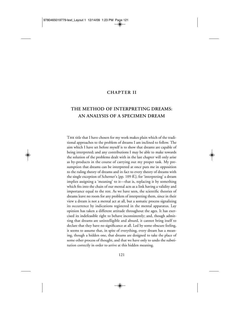#### **CHAPTER II**

#### **THE METHOD OF INTERPRETING DREAMS: AN ANALYSIS OF A SPECIMEN DREAM**

The title that I have chosen for my work makes plain which of the traditional approaches to the problem of dreams I am inclined to follow. The aim which I have set before myself is to show that dreams are capable of being interpreted; and any contributions I may be able to make towards the solution of the problems dealt with in the last chapter will only arise as by-products in the course of carrying out my proper task. My presumption that dreams can be interpreted at once puts me in opposition to the ruling theory of dreams and in fact to every theory of dreams with the single exception of Scherner's [pp. 109 ff.]; for 'interpreting' a dream implies assigning a 'meaning' to it—that is, replacing it by something which fits into the chain of our mental acts as a link having a validity and importance equal to the rest. As we have seen, the scientific theories of dreams leave no room for any problem of interpreting them, since in their view a dream is not a mental act at all, but a somatic process signalizing its occurrence by indications registered in the mental apparatus. Lay opinion has taken a different attitude throughout the ages. It has exercised its indefeasible right to behave inconsistently; and, though admitting that dreams are unintelligible and absurd, it cannot bring itself to declare that they have no significance at all. Led by some obscure feeling, it seems to assume that, in spite of everything, every dream has a meaning, though a hidden one, that dreams are designed to take the place of some other process of thought, and that we have only to undo the substitution correctly in order to arrive at this hidden meaning.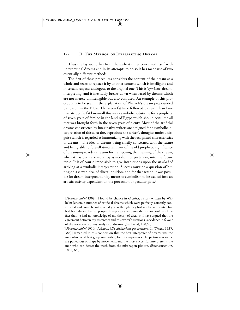Thus the lay world has from the earliest times concerned itself with 'interpreting' dreams and in its attempts to do so it has made use of two essentially different methods.

The first of these procedures considers the content of the dream as a whole and seeks to replace it by another content which is intelligible and in certain respects analogous to the original one. This is '*symbolic*' dreaminterpreting; and it inevitably breaks down when faced by dreams which are not merely unintelligible but also confused. An example of this procedure is to be seen in the explanation of Pharaoh's dream propounded by Joseph in the Bible. The seven fat kine followed by seven lean kine that ate up the fat kine—all this was a symbolic substitute for a prophecy of seven years of famine in the land of Egypt which should consume all that was brought forth in the seven years of plenty. Most of the artificial dreams constructed by imaginative writers are designed for a symbolic interpretation of this sort: they reproduce the writer's thoughts under a disguise which is regarded as harmonizing with the recognized characteristics of dreams.1 The idea of dreams being chiefly concerned with the future and being able to foretell it—a remnant of the old prophetic significance of dreams—provides a reason for transposing the meaning of the dream, when it has been arrived at by symbolic interpretation, into the future tense. It is of course impossible to give instructions upon the *method* of arriving at a symbolic interpretation. Success must be a question of hitting on a clever idea, of direct intuition, and for that reason it was possible for dream-interpretation by means of symbolism to be exalted into an artistic activity dependent on the possession of peculiar gifts.<sup>2</sup>

<sup>1 [</sup>*Footnote added* 1909:] I found by chance in *Gradiva*, a story written by Wilhelm Jensen, a number of artificial dreams which were perfectly correctly constructed and could be interpreted just as though they had not been invented but had been dreamt by real people. In reply to an enquiry, the author confirmed the fact that he had no knowledge of my theory of dreams. I have argued that the agreement between my researches and this writer's creations is evidence in favour of the correctness of my analysis of dreams. (See Freud, 1907*a*.)

<sup>2 [</sup>*Footnote added* 1914:] Aristotle [*De divinatione per somnum*, II (*Trans.*, 1935, 383)] remarked in this connection that the best interpreter of dreams was the man who could best grasp similarities; for dream-pictures, like pictures on water, are pulled out of shape by movement, and the most successful interpreter is the man who can detect the truth from the misshapen picture. (Büchsenschütz, 1868, 65.)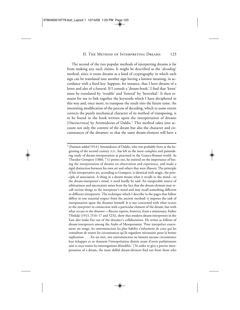The second of the two popular methods of interpreting dreams is far from making any such claims. It might be described as the '*decoding*' method, since it treats dreams as a kind of cryptography in which each sign can be translated into another sign having a known meaning, in accordance with a fixed key. Suppose, for instance, that I have dreamt of a letter and also of a funeral. If I consult a 'dream-book,' I find that 'letter' must be translated by 'trouble' and 'funeral' by 'betrothal.' It then remains for me to link together the keywords which I have deciphered in this way and, once more, to transpose the result into the future tense. An interesting modification of the process of decoding, which to some extent corrects the purely mechanical character of its method of transposing, is to be found in the book written upon the interpretation of dreams [*Oneirocritica*] by Artemidorus of Daldis.<sup>1</sup> This method takes into account not only the content of the dream but also the character and circumstances of the dreamer; so that the same dream-element will have a

<sup>&</sup>lt;sup>1</sup> [*Footnote added* 1914:] Artemidorus of Daldis, who was probably born at the beginning of the second century A.D., has left us the most complete and painstaking study of dream-interpretation as practised in the Graeco-Roman world. As Theodor Gomperz (1866, 7 f.) points out, he insisted on the importance of basing the interpretation of dreams on observation and experience, and made a rigid distinction between his own art and others that were illusory. The principle of his interpretative art, according to Gomperz, is identical with magic, the principle of association. A thing in a dream means what it recalls to the mind—to the dream-interpreter's mind, it need hardly be said. An insuperable source of arbitrariness and uncertainty arises from the fact that the dream-element may recall *various* things to the interpreter's mind and may recall something different to different interpreters. The technique which I describe in the pages that follow differs in one essential respect from the ancient method: it imposes the task of interpretation upon the dreamer himself. It is not concerned with what occurs to the *interpreter* in connection with a particular element of the dream, but with what occurs to the *dreamer.*—Recent reports, however, from a missionary, Father Tfinkdji (1913, [516–17 and 523]), show that modern dream-interpreters in the East also make free use of the dreamer's collaboration. He writes as follows of dream-interpreters among the Arabs of Mesopotamia: 'Pour interprêter exactement un songe, les oniromanciens les plus habiles s'informent de ceux qui les consultent de toutes les circonstances qu'ils regardent nécessaires pour la bonne explication. . . . En un mot, nos oniromanciens ne laissent aucune circonstance leur échapper et ne donnent l'interprétation désirée avant d'avoir parfaitement saisi et reçu toutes les interrogations désirables.' ['In order to give a precise interpretation of a dream, the most skilful dream-diviners find out from those who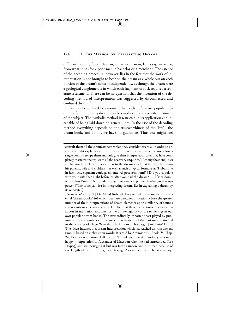different meaning for a rich man, a married man or, let us say, an orator, from what it has for a poor man, a bachelor or a merchant. The essence of the decoding procedure, however, lies in the fact that the work of interpretation is not brought to bear on the dream as a whole but on each portion of the dream's content independently, as though the dream were a geological conglomerate in which each fragment of rock required a separate assessment. There can be no question that the invention of the decoding method of interpretation was suggested by disconnected and confused dreams.2

It cannot be doubted for a moment that neither of the two popular procedures for interpreting dreams can be employed for a scientific treatment of the subject. The symbolic method is restricted in its application and incapable of being laid down on general lines. In the case of the decoding method everything depends on the trustworthiness of the 'key'—the dream-book, and of this we have no guarantee. Thus one might feel

consult them all the circumstances which they consider essential in order to arrive at a right explanation. . . . In short, these dream-diviners do not allow a single point to escape them and only give their interpretation after they have completely mastered the replies to all the necessary enquiries.'] Among these enquiries are habitually included questions as to the dreamer's closest family relations his parents, wife and children—as well as such a typical formula as: 'Habuistine in hac nocte copulam conjugalem ante vel post somnium?' ['Did you copulate with your wife that night before or after you had the dream?']—'L'idée dominante dans l'interprétation des songes consiste à expliquer le rêve par son opposée.' ['The principal idea in interpreting dreams lies in explaining a dream by its opposite.']

2 [*Footnote added* 1909:] Dr. Alfred Robitsek has pointed out to me that the oriental 'dream-books' (of which ours are wretched imitations) base the greater number of their interpretations of dream-elements upon similarity of sounds and resemblance between words. The fact that these connections inevitably disappear in translation accounts for the unintelligibility of the renderings in our own popular dream-books. The extraordinarily important part played by punning and verbal quibbles in the ancient civilizations of the East may be studied in the writings of Hugo Winckler [the famous archaeologist].—[*Added* 1911:] The nicest instance of a dream-interpretation which has reached us from ancient times is based on a play upon words. It is told by Artemidorus [Book IV, Chap. 24, Krauss's translation, 1881, 255]: 'I think too that Aristander gave a most happy interpretation to Alexander of Macedon when he had surrounded Tyre [Τύρος] and was besieging it but was feeling uneasy and disturbed because of the length of time the siege was taking. Alexander dreamt he saw a satyr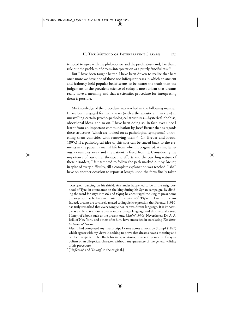tempted to agree with the philosophers and the psychiatrists and, like them, rule out the problem of dream-interpretation as a purely fanciful task.<sup>2</sup>

But I have been taught better. I have been driven to realize that here once more we have one of those not infrequent cases in which an ancient and jealously held popular belief seems to be nearer the truth than the judgement of the prevalent science of today. I must affirm that dreams really have a meaning and that a scientific procedure for interpreting them is possible.

My knowledge of the procedure was reached in the following manner. I have been engaged for many years (with a therapeutic aim in view) in unravelling certain psycho-pathological structures—hysterical phobias, obsessional ideas, and so on. I have been doing so, in fact, ever since I learnt from an important communication by Josef Breuer that as regards these structures (which are looked on as pathological symptoms) unravelling them coincides with removing them.3 (Cf. Breuer and Freud, 1895.) If a pathological idea of this sort can be traced back to the elements in the patient's mental life from which it originated, it simultaneously crumbles away and the patient is freed from it. Considering the impotence of our other therapeutic efforts and the puzzling nature of these disorders, I felt tempted to follow the path marked out by Breuer, in spite of every difficulty, till a complete explanation was reached. I shall have on another occasion to report at length upon the form finally taken

<sup>[</sup>σάτυρος] dancing on his shield. Aristander happened to be in the neighborhood of Tyre, in attendance on the king during his Syrian campaign. By dividing the word for satyr into  $\sigma \alpha$  and  $\tau \psi$  ocher heta couraged the king to press home the siege so that he became master of the city.' (σά Τ $\psi$ ρος = Tyre is thine.)— Indeed, dreams are so closely related to linguistic expression that Ferenczi [1910] has truly remarked that every tongue has its own dream-language. It is impossible as a rule to translate a dream into a foreign language and this is equally true, I fancy, of a book such as the present one. [*Added* 1930:] Nevertheless Dr. A. A. Brill of New York, and others after him, have succeeded in translating *The Interpretation of Dreams.*

<sup>&</sup>lt;sup>2</sup> After I had completed my manuscript I came across a work by Stumpf (1899) which agrees with my views in seeking to prove that dreams have a meaning and can be interpreted. He effects his interpretations, however, by means of a symbolism of an allegorical character without any guarantee of the general validity of his procedure.

<sup>3 [&#</sup>x27;*Auflösung*' and '*Lösung*' in the original.]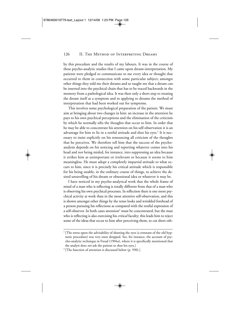by this procedure and the results of my labours. It was in the course of these psycho-analytic studies that I came upon dream-interpretation. My patients were pledged to communicate to me every idea or thought that occurred to them in connection with some particular subject; amongst other things they told me their dreams and so taught me that a dream can be inserted into the psychical chain that has to be traced backwards in the memory from a pathological idea. It was then only a short step to treating the dream itself as a symptom and to applying to dreams the method of interpretation that had been worked out for symptoms.

This involves some psychological preparation of the patient. We must aim at bringing about two changes in him: an increase in the attention he pays to his own psychical perceptions and the elimination of the criticism by which he normally sifts the thoughts that occur to him. In order that he may be able to concentrate his attention on his self-observation it is an advantage for him to lie in a restful attitude and shut his eyes.<sup>1</sup> It is necessary to insist explicitly on his renouncing all criticism of the thoughts that he perceives. We therefore tell him that the success of the psychoanalysis depends on his noticing and reporting whatever comes into his head and not being misled, for instance, into suppressing an idea because it strikes him as unimportant or irrelevant or because it seems to him meaningless. He must adopt a completely impartial attitude to what occurs to him, since it is precisely his critical attitude which is responsible for his being unable, in the ordinary course of things, to achieve the desired unravelling of his dream or obsessional idea or whatever it may be.

I have noticed in my psycho-analytical work that the whole frame of mind of a man who is reflecting is totally different from that of a man who is observing his own psychical processes. In reflection there is one more psychical activity at work than in the most attentive self- observation, and this is shown amongst other things by the tense looks and wrinkled forehead of a person pursuing his reflections as compared with the restful expression of a self-observer. In both cases attention<sup>2</sup> must be concentrated, but the man who is reflecting is also exercising his *critical* faculty; this leads him to reject some of the ideas that occur to him after perceiving them, to cut short oth-

 $1$ <sup>1</sup> [The stress upon the advisability of shutting the eyes (a remnant of the old hypnotic procedure) was very soon dropped. See, for instance, the account of psycho-analytic technique in Freud (1904*a*), where it is specifically mentioned that the analyst does *not* ask the patient to shut his eyes.]

<sup>&</sup>lt;sup>2</sup> [The function of attention is discussed below (p. 590).]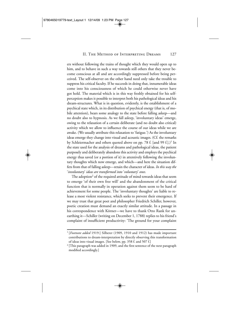ers without following the trains of thought which they would open up to him, and to behave in such a way towards still others that they never become conscious at all and are accordingly suppressed before being perceived. The self-observer on the other hand need only take the trouble to suppress his critical faculty. If he succeeds in doing that, innumerable ideas come into his consciousness of which he could otherwise never have got hold. The material which is in this way freshly obtained for his self perception makes it possible to interpret both his pathological ideas and his dream-structures. What is in question, evidently, is the establishment of a psychical state which, in its distribution of psychical energy (that is, of mobile attention), bears some analogy to the state before falling asleep—and no doubt also to hypnosis. As we fall asleep, 'involuntary ideas' emerge, owing to the relaxation of a certain deliberate (and no doubt also critical) activity which we allow to influence the course of our ideas while we are awake. (We usually attribute this relaxation to 'fatigue.') As the involuntary ideas emerge they change into visual and acoustic images. (Cf. the remarks by Schleiermacher and others quoted above on pp. 78 f. [and 99 f.].)<sup>1</sup> In the state used for the analysis of dreams and pathological ideas, the patient purposely and deliberately abandons this activity and employs the psychical energy thus saved (or a portion of it) in attentively following the involuntary thoughts which now emerge, and which—and here the situation differs from that of falling asleep—retain the character of ideas. *In this way the* '*involuntary*' *ideas are transformed into* '*voluntary*' *ones.*

The adoption<sup>2</sup> of the required attitude of mind towards ideas that seem to emerge 'of their own free will' and the abandonment of the critical function that is normally in operation against them seem to be hard of achievement for some people. The 'involuntary thoughts' are liable to release a most violent resistance, which seeks to prevent their emergence. If we may trust that great poet and philosopher Friedrich Schiller, however, poetic creation must demand an exactly similar attitude. In a passage in his correspondence with Körner—we have to thank Otto Rank for unearthing it—Schiller (writing on December 1, 1788) replies to his friend's complaint of insufficient productivity: 'The ground for your complaint

<sup>&</sup>lt;sup>1</sup> [Footnote added 1919:] Silberer (1909, 1910 and 1912) has made important contributions to dream-interpretation by directly observing this transformation of ideas into visual images. [See below, pp. 358 f. and 507 f.]

 $2$  [This paragraph was added in 1909, and the first sentence of the next paragraph modified accordingly.]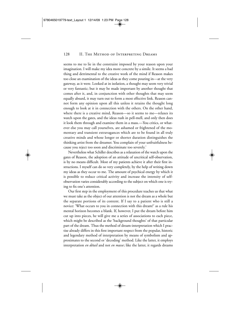seems to me to lie in the constraint imposed by your reason upon your imagination. I will make my idea more concrete by a simile. It seems a bad thing and detrimental to the creative work of the mind if Reason makes too close an examination of the ideas as they come pouring in—at the very gateway, as it were. Looked at in isolation, a thought may seem very trivial or very fantastic; but it may be made important by another thought that comes after it, and, in conjunction with other thoughts that may seem equally absurd, it may turn out to form a most effective link. Reason cannot form any opinion upon all this unless it retains the thought long enough to look at it in connection with the others. On the other hand, where there is a creative mind, Reason—so it seems to me—relaxes its watch upon the gates, and the ideas rush in pell-mell, and only then does it look them through and examine them in a mass.—You critics, or whatever else you may call yourselves, are ashamed or frightened of the momentary and transient extravagances which are to be found in all truly creative minds and whose longer or shorter duration distinguishes the thinking artist from the dreamer. You complain of your unfruitfulness because you reject too soon and discriminate too severely.'

Nevertheless what Schiller describes as a relaxation of the watch upon the gates of Reason, the adoption of an attitude of uncritical self- observation, is by no means difficult. Most of my patients achieve it after their first instructions. I myself can do so very completely, by the help of writing down my ideas as they occur to me. The amount of psychical energy by which it is possible to reduce critical activity and increase the intensity of self observation varies considerably according to the subject on which one is trying to fix one's attention.

Our first step in the employment of this procedure teaches us that what we must take as the object of our attention is not the dream as a whole but the separate portions of its content. If I say to a patient who is still a novice: 'What occurs to you in connection with this dream?' as a rule his mental horizon becomes a blank. If, however, I put the dream before him cut up into pieces, he will give me a series of associations to each piece, which might be described as the 'background thoughts' of that particular part of the dream. Thus the method of dream-interpretation which I practise already differs in this first important respect from the popular, historic and legendary method of interpretation by means of symbolism and approximates to the second or 'decoding' method. Like the latter, it employs interpretation *en détail* and not *en masse*; like the latter, it regards dreams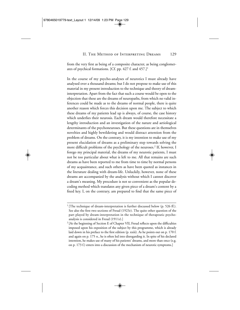from the very first as being of a composite character, as being conglomerates of psychical formations. [Cf. pp. 427 f. and 457.]<sup>1</sup>

In the course of my psycho-analyses of neurotics I must already have analysed over a thousand dreams; but I do not propose to make use of this material in my present introduction to the technique and theory of dreaminterpretation. Apart from the fact that such a course would be open to the objection that these are the dreams of neuropaths, from which no valid inferences could be made as to the dreams of normal people, there is quite another reason which forces this decision upon me. The subject to which these dreams of my patients lead up is always, of course, the case history which underlies their neurosis. Each dream would therefore necessitate a lengthy introduction and an investigation of the nature and aetiological determinants of the psychoneuroses. But these questions are in themselves novelties and highly bewildering and would distract attention from the problem of dreams. On the contrary, it is my intention to make use of my present elucidation of dreams as a preliminary step towards solving the more difficult problems of the psychology of the neuroses.<sup>2</sup> If, however, I forego my principal material, the dreams of my neurotic patients, I must not be too particular about what is left to me. All that remains are such dreams as have been reported to me from time to time by normal persons of my acquaintance, and such others as have been quoted as instances in the literature dealing with dream-life. Unluckily, however, none of these dreams are accompanied by the analysis without which I cannot discover a dream's meaning. My procedure is not so convenient as the popular decoding method which translates any given piece of a dream's content by a fixed key. I, on the contrary, am prepared to find that the same piece of

<sup>&</sup>lt;sup>1</sup> [The technique of dream-interpretation is further discussed below (p. 526 ff.). See also the first two sections of Freud (1923*c*). The quite other question of the part played by dream-interpretation in the technique of therapeutic psychoanalysis is considered in Freud (1911*e*).]

 $2$  [At the beginning of Section E of Chapter VII, Freud reflects upon the difficulties imposed upon his exposition of the subject by this programme, which is already laid down in his preface to the first edition (p. xxiii). As he points out on p. 170 f. and again on p. 175 *n.*, he is often led into disregarding it. In spite of his declared intention, he makes use of many of his patients' dreams, and more than once (e.g. on p. 173 f.) enters into a discussion of the mechanism of neurotic symptoms.]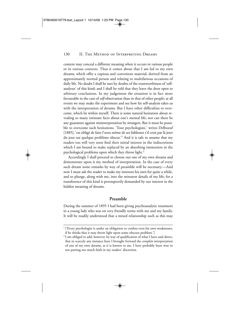content may conceal a different meaning when it occurs in various people or in various contexts. Thus it comes about that I am led to my own dreams, which offer a copious and convenient material, derived from an approximately normal person and relating to multifarious occasions of daily life. No doubt I shall be met by doubts of the trustworthiness of 'selfanalyses' of this kind; and I shall be told that they leave the door open to arbitrary conclusions. In my judgement the situation is in fact more favourable in the case of *self*-observation than in that of other people; at all events we may make the experiment and see how far self-analysis takes us with the interpretation of dreams. But I have other difficulties to overcome, which lie within myself. There is some natural hesitation about revealing so many intimate facts about one's mental life; nor can there be any guarantee against misinterpretation by strangers. But it must be possible to overcome such hesitations. 'Tout psychologiste,' writes Delboeuf [1885], 'est obligé de faire l'aveu même de ses faiblesses s'il croit par là jeter du jour sur quelque problème obscur.'1 And it is safe to assume that my readers too will very soon find their initial interest in the indiscretions which I am bound to make replaced by an absorbing immersion in the psychological problems upon which they throw light.<sup>2</sup>

Accordingly I shall proceed to choose out one of my own dreams and demonstrate upon it my method of interpretation. In the case of every such dream some remarks by way of preamble will be necessary.—And now I must ask the reader to make my interests his own for quite a while, and to plunge, along with me, into the minutest details of my life; for a transference of this kind is peremptorily demanded by our interest in the hidden meaning of dreams.

#### **Preamble**

During the summer of 1895 I had been giving psychoanalytic treatment to a young lady who was on very friendly terms with me and my family. It will be readily understood that a mixed relationship such as this may

<sup>&</sup>lt;sup>1</sup> ['Every psychologist is under an obligation to confess even his own weaknesses, if he thinks that it may throw light upon some obscure problem.']

 $2$ I am obliged to add, however, by way of qualification of what I have said above, that in scarcely any instance have I brought forward the *complete* interpretation of one of my own dreams, as it is known to me. I have probably been wise in not putting too much faith in my readers' discretion.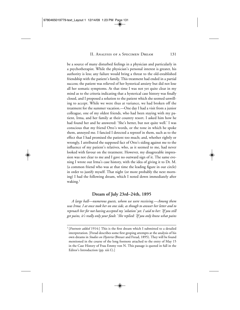be a source of many disturbed feelings in a physician and particularly in a psychotherapist. While the physician's personal interest is greater, his authority is less; any failure would bring a threat to the old-established friendship with the patient's family. This treatment had ended in a partial success; the patient was relieved of her hysterical anxiety but did not lose all her somatic symptoms. At that time I was not yet quite clear in my mind as to the criteria indicating that a hysterical case history was finally closed, and I proposed a solution to the patient which she seemed unwilling to accept. While we were thus at variance, we had broken off the treatment for the summer vacation.—One day I had a visit from a junior colleague, one of my oldest friends, who had been staying with my patient, Irma, and her family at their country resort. I asked him how he had found her and he answered: 'She's better, but not quite well.' I was conscious that my friend Otto's words, or the tone in which he spoke them, annoyed me. I fancied I detected a reproof in them, such as to the effect that I had promised the patient too much; and, whether rightly or wrongly, I attributed the supposed fact of Otto's siding against me to the influence of my patient's relatives, who, as it seemed to me, had never looked with favour on the treatment. However, my disagreeable impression was not clear to me and I gave no outward sign of it. The same evening I wrote out Irma's case history, with the idea of giving it to Dr. M. (a common friend who was at that time the leading figure in our circle) in order to justify myself. That night (or more probably the next morning) I had the following dream, which I noted down immediately after waking.<sup>1</sup>

#### **Dream of July 23rd–24th, 1895**

*A large hall—numerous guests, whom we were receiving.—Among them was Irma. I at once took her on one side, as though to answer her letter and to reproach her for not having accepted my 'solution' yet. I said to her: 'If you still get pains, it's really only your fault.' She replied: 'If you only knew what pains*

<sup>&</sup>lt;sup>1</sup> [*Footnote added* 1914:] This is the first dream which I submitted to a detailed interpretation. [Freud describes some first groping attempts at the analysis of his own dreams in *Studies on Hysteria* (Breuer and Freud, 1895). They will be found mentioned in the course of the long footnote attached to the entry of May 15 in the Case History of Frau Emmy von N. This passage is quoted in full in the Editor's Introduction (pp. xiii f.).]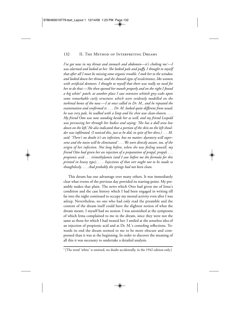*I've got now in my throat and stomach and abdomen—it's choking me'—I was alarmed and looked at her. She looked pale and puffy. I thought to myself that after all I must be missing some organic trouble. I took her to the window and looked down her throat, and she showed signs of recalcitrance, like women with artificial dentures. I thought to myself that there was really no need for her to do that.—She then opened her mouth properly and on the right I found a big white*<sup>1</sup> *patch; at another place I saw extensive whitish grey scabs upon some remarkable curly structures which were evidently modelled on the turbinal bones of the nose.—I at once called in Dr. M., and he repeated the examination and confirmed it. . . . Dr. M. looked quite different from usual; he was very pale, he walked with a limp and his chin was clean-shaven. . . . My friend Otto was now standing beside her as well, and my friend Leopold was percussing her through her bodice and saying: 'She has a dull area low down on the left.' He also indicated that a portion of the skin on the left shoulder was infiltrated. (I noticed this, just as he did, in spite of her dress.) . . . M. said: 'There's no doubt it's an infection, but no matter; dysentery will supervene and the toxin will be eliminated.' . . . We were directly aware, too, of the origin of her infection. Not long before, when she was feeling unwell, my friend Otto had given her an injection of a preparation of propyl, propyls . . . propionic acid . . . trimethylamin (and I saw before me the formula for this printed in heavy type). . . . Injections of that sort ought not to be made so thoughtlessly. . . . And probably the syringe had not been clean.*

This dream has one advantage over many others. It was immediately clear what events of the previous day provided its starting-point. My preamble makes that plain. The news which Otto had given me of Irma's condition and the case history which I had been engaged in writing till far into the night continued to occupy my mental activity even after I was asleep. Nevertheless, no one who had only read the preamble and the content of the dream itself could have the slightest notion of what the dream meant. I myself had no notion. I was astonished at the symptoms of which Irma complained to me in the dream, since they were not the same as those for which I had treated her. I smiled at the senseless idea of an injection of propionic acid and at Dr. M.'s consoling reflections. Towards its end the dream seemed to me to be more obscure and compressed than it was at the beginning. In order to discover the meaning of all this it was necessary to undertake a detailed analysis.

<sup>&</sup>lt;sup>1</sup> [The word 'white' is omitted, no doubt accidentally, in the 1942 edition only.]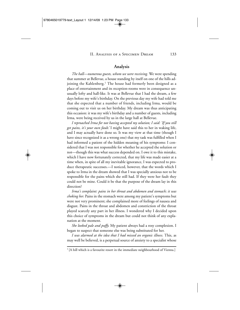#### **Analysis**

*The hall—numerous guests, whom we were receiving.* We were spending that summer at Bellevue, a house standing by itself on one of the hills adjoining the Kahlenberg.<sup>1</sup> The house had formerly been designed as a place of entertainment and its reception-rooms were in consequence unusually lofty and hall-like. It was at Bellevue that I had the dream, a few days before my wife's birthday. On the previous day my wife had told me that she expected that a number of friends, including Irma, would be coming out to visit us on her birthday. My dream was thus anticipating this occasion: it was my wife's birthday and a number of guests, including Irma, were being received by us in the large hall at Bellevue.

*I reproached Irma for not having accepted my solution; I said: 'If you still get pains, it's your own fault.'* I might have said this to her in waking life, and I may actually have done so. It was my view at that time (though I have since recognized it as a wrong one) that my task was fulfilled when I had informed a patient of the hidden meaning of his symptoms: I considered that I was not responsible for whether he accepted the solution or not—though this was what success depended on. I owe it to this mistake, which I have now fortunately corrected, that my life was made easier at a time when, in spite of all my inevitable ignorance, I was expected to produce therapeutic successes.—I noticed, however, that the words which I spoke to Irma in the dream showed that I was specially anxious not to be responsible for the pains which she still had. If they were her fault they could not be mine. Could it be that the purpose of the dream lay in this direction?

*Irma's complaint: pains in her throat and abdomen and stomach; it was choking her.* Pains in the stomach were among my patient's symptoms but were not very prominent; she complained more of feelings of nausea and disgust. Pains in the throat and abdomen and constriction of the throat played scarcely any part in her illness. I wondered why I decided upon this choice of symptoms in the dream but could not think of any explanation at the moment.

*She looked pale and puffy.* My patient always had a rosy complexion. I began to suspect that someone else was being substituted for her.

*I was alarmed at the idea that I had missed an organic illness.* This, as may well be believed, is a perpetual source of anxiety to a specialist whose

<sup>&</sup>lt;sup>1</sup> [A hill which is a favourite resort in the immediate neighbourhood of Vienna.]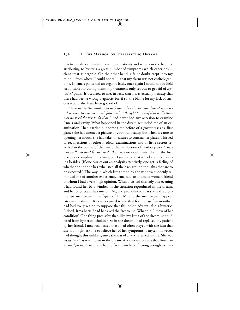practice is almost limited to neurotic patients and who is in the habit of attributing to hysteria a great number of symptoms which other physicians treat as organic. On the other hand, a faint doubt crept into my mind—from where, I could not tell—that my alarm was not entirely genuine. If Irma's pains had an organic basis, once again I could not be held responsible for curing them; my treatment only set out to get rid of *hysterical* pains. It occurred to me, in fact, that I was actually *wishing* that there had been a wrong diagnosis; for, if so, the blame for my lack of success would also have been got rid of.

*I took her to the window to look down her throat. She showed some recalcitrance, like women with false teeth. I thought to myself that really there was no need for her to do that.* I had never had any occasion to examine Irma's oral cavity. What happened in the dream reminded me of an examination I had carried out some time before of a governess: at a first glance she had seemed a picture of youthful beauty, but when it came to opening her mouth she had taken measures to conceal her plates. This led to recollections of other medical examinations and of little secrets revealed in the course of them—to the satisfaction of neither party. *'There was really no need for her to do that'* was no doubt intended in the first place as a compliment to Irma; but I suspected that it had another meaning besides. (If one carries out an analysis attentively, one gets a feeling of whether or not one has exhausted all the background thoughts that are to be expected.) The way in which Irma stood by the window suddenly reminded me of another experience. Irma had an intimate woman friend of whom I had a very high opinion. When I visited this lady one evening I had found her by a window in the situation reproduced in the dream, and her physician, the same Dr. M., had pronounced that she had a diphtheritic membrane. The figure of Dr. M. and the membrane reappear later in the dream. It now occurred to me that for the last few months I had had every reason to suppose that this other lady was also a hysteric. Indeed, Irma herself had betrayed the fact to me. What did I know of her condition? One thing precisely: that, like my Irma of the dream, she suffered from hysterical choking. So in the dream I had replaced my patient by her friend. I now recollected that I had often played with the idea that she too might ask me to relieve her of her symptoms. I myself, however, had thought this unlikely, since she was of a very reserved nature. She was *recalcitrant*, as was shown in the dream. Another reason was that *there was no need for her to do it:* she had so far shown herself strong enough to mas-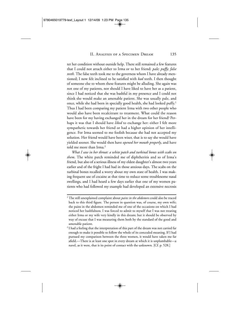ter her condition without outside help. There still remained a few features that I could not attach either to Irma or to her friend: *pale; puffy; false teeth.* The false teeth took me to the governess whom I have already mentioned; I now felt inclined to be satisfied with *bad* teeth. I then thought of someone else to whom these features might be alluding. She again was not one of my patients, nor should I have liked to have her as a patient, since I had noticed that she was bashful in my presence and I could not think she would make an amenable patient. She was usually pale, and once, while she had been in specially good health, she had looked puffy.<sup>1</sup> Thus I had been comparing my patient Irma with two other people who would also have been recalcitrant to treatment. What could the reason have been for my having exchanged her in the dream for her friend? Perhaps it was that I should have *liked* to exchange her: either I felt more sympathetic towards her friend or had a higher opinion of her intelligence. For Irma seemed to me foolish because she had not accepted my solution. Her friend would have been wiser, that is to say she would have yielded sooner. She would then have *opened her mouth properly*, and have told me more than Irma.<sup>2</sup>

*What I saw in her throat: a white patch and turbinal bones with scabs on them.* The white patch reminded me of diphtheritis and so of Irma's friend, but also of a serious illness of my eldest daughter's almost two years earlier and of the fright I had had in those anxious days. The scabs on the turbinal bones recalled a worry about my own state of health. I was making frequent use of cocaine at that time to reduce some troublesome nasal swellings, and I had heard a few days earlier that one of my women patients who had followed my example had developed an extensive necrosis

<sup>&</sup>lt;sup>1</sup> The still unexplained complaint about *pains in the abdomen* could also be traced back to this third figure. The person in question was, of course, my own wife; the pains in the abdomen reminded me of one of the occasions on which I had noticed her bashfulness. I was forced to admit to myself that I was not treating either Irma or my wife very kindly in this dream; but it should be observed by way of excuse that I was measuring them both by the standard of the good and amenable patient.

<sup>&</sup>lt;sup>2</sup> I had a feeling that the interpretation of this part of the dream was not carried far enough to make it possible to follow the whole of its concealed meaning. If I had pursued my comparison between the three women, it would have taken me far afield.—There is at least one spot in every dream at which it is unplumbable—a navel, as it were, that is its point of contact with the unknown. [Cf. p. 528.]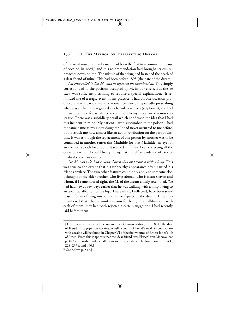of the nasal mucous membrane. I had been the first to recommend the use of cocaine, in  $1885$ ,<sup>1</sup> and this recommendation had brought serious reproaches down on me. The misuse of that drug had hastened the death of a dear friend of mine. This had been before 1895 [the date of the dream].

*I at once called in Dr. M., and he repeated the examination.* This simply corresponded to the position occupied by M. in our circle. But the *'at once'* was sufficiently striking to require a special explanation.2 It reminded me of a tragic event in my practice. I had on one occasion produced a severe toxic state in a woman patient by repeatedly prescribing what was at that time regarded as a harmless remedy (sulphonal), and had hurriedly turned for assistance and support to my experienced senior colleague. There was a subsidiary detail which confirmed the idea that I had this incident in mind. My patient—who succumbed to the poison—had the same name as my eldest daughter. It had never occurred to me before, but it struck me now almost like an act of retribution on the part of destiny. It was as though the replacement of one person by another was to be continued in another sense: this Mathilde for that Mathilde, an eye for an eye and a tooth for a tooth. It seemed as if I had been collecting all the occasions which I could bring up against myself as evidence of lack of medical conscientiousness.

*Dr. M. was pale, had a clean-shaven chin and walked with a limp.* This was true to the extent that his unhealthy appearance often caused his friends anxiety. The two other features could only apply to someone else. I thought of my elder brother, who lives abroad, who is clean-shaven and whom, if I remembered right, the M. of the dream closely resembled. We had had news a few days earlier that he was walking with a limp owing to an arthritic affection of his hip. There must, I reflected, have been some reason for my fusing into one the two figures in the dream. I then remembered that I had a similar reason for being in an ill-humour with each of them: they had both rejected a certain suggestion I had recently laid before them.

<sup>&</sup>lt;sup>1</sup> [This is a misprint (which occurs in every German edition) for '1884,' the date of Freud's first paper on cocaine. A full account of Freud's work in connection with cocaine will be found in Chapter VI of the first volume of Ernest Jones's life of Freud. From this it appears that the 'dear friend' was Fleischl von Marxow (see p. 487 *n*.). Further indirect allusions to this episode will be found on pp. 194 f., 228, 237 f. and 490.]

 $2$  [See below, p. 517.]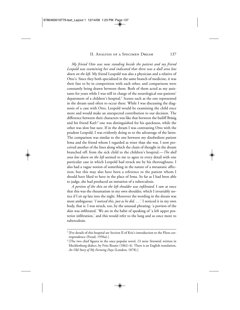*My friend Otto was now standing beside the patient and my friend Leopold was examining her and indicated that there was a dull area low down on the left*. My friend Leopold was also a physician and a relative of Otto's. Since they both specialized in the same branch of medicine, it was their fate to be in competition with each other, and comparisons were constantly being drawn between them. Both of them acted as my assistants for years while I was still in charge of the neurological out-patients' department of a children's hospital.<sup>1</sup> Scenes such as the one represented in the dream used often to occur there. While I was discussing the diagnosis of a case with Otto, Leopold would be examining the child once more and would make an unexpected contribution to our decision. The difference between their characters was like that between the bailiff Bräsig and his friend Karl:<sup>2</sup> one was distinguished for his quickness, while the other was slow but sure. If in the dream I was contrasting Otto with the prudent Leopold, I was evidently doing so to the advantage of the latter. The comparison was similar to the one between my disobedient patient Irma and the friend whom I regarded as wiser than she was. I now perceived another of the lines along which the chain of thought in the dream branched off: from the sick child to the children's hospital.—*The dull area low down on the left* seemed to me to agree in every detail with one particular case in which Leopold had struck me by his thoroughness. I also had a vague notion of something in the nature of a metastatic affection; but this may also have been a reference to the patient whom I should have liked to have in the place of Irma. So far as I had been able to judge, she had produced an imitation of a tuberculosis.

*A portion of the skin on the left shoulder was infiltrated.* I saw at once that this was the rheumatism in my own shoulder, which I invariably notice if I sit up late into the night. Moreover the wording in the dream was most ambiguous: '*I noticed this, just as he did.* . . .' I noticed it in my own body, that is. I was struck, too, by the unusual phrasing: 'a portion of the skin was infiltrated.' We are in the habit of speaking of 'a left upper posterior infiltration,' and this would refer to the lung and so once more to tuberculosis.

<sup>&</sup>lt;sup>1</sup> [For details of this hospital see Section II of Kris's introduction to the Fliess correspondence (Freud, 1950*a*).]

<sup>2 [</sup>The two chief figures in the once popular novel, *Ut mine Stromtid*, written in Mecklenburg dialect, by Fritz Reuter (1862–4). There is an English translation, *An Old Story of My Farming Days* (London, 1878).]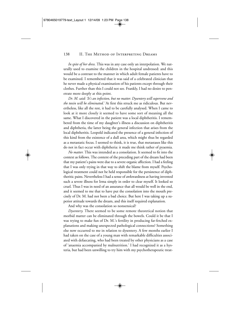*In spite of her dress.* This was in any case only an interpolation. We naturally used to examine the children in the hospital undressed: and this would be a contrast to the manner in which adult female patients have to be examined. I remembered that it was said of a celebrated clinician that he never made a physical examination of his patients except through their clothes. Further than this I could not see. Frankly, I had no desire to penetrate more deeply at this point.

*Dr. M. said: 'It's an infection, but no matter. Dysentery will supervene and the toxin will be eliminated.'* At first this struck me as ridiculous. But nevertheless, like all the rest, it had to be carefully analysed. When I came to look at it more closely it seemed to have some sort of meaning all the same. What I discovered in the patient was a local diphtheritis. I remembered from the time of my daughter's illness a discussion on diphtheritis and diphtheria, the latter being the general infection that arises from the local diphtheritis. Leopold indicated the presence of a general infection of this kind from the existence of a dull area, which might thus be regarded as a metastatic focus. I seemed to think, it is true, that metastases like this do not in fact occur with diphtheria: it made me think rather of pyaemia.

*No matter.* This was intended as a consolation. It seemed to fit into the context as follows. The content of the preceding part of the dream had been that my patient's pains were due to a severe organic affection. I had a feeling that I was only trying in that way to shift the blame from myself. Psychological treatment could not be held responsible for the persistence of diphtheritic pains. Nevertheless I had a sense of awkwardness at having invented such a severe illness for Irma simply in order to clear myself. It looked so cruel. Thus I was in need of an assurance that all would be well in the end, and it seemed to me that to have put the consolation into the mouth precisely of Dr. M. had not been a bad choice. But here I was taking up a superior attitude towards the dream, and this itself required explanation.

And why was the consolation so nonsensical?

*Dysentery.* There seemed to be some remote theoretical notion that morbid matter can be eliminated through the bowels. Could it be that I was trying to make fun of Dr. M.'s fertility in producing far-fetched explanations and making unexpected pathological connections? Something else now occurred to me in relation to dysentery. A few months earlier I had taken on the case of a young man with remarkable difficulties associated with defaecating, who had been treated by other physicians as a case of 'anaemia accompanied by malnutrition.' I had recognized it as a hysteria, but had been unwilling to try him with my psychotherapeutic treat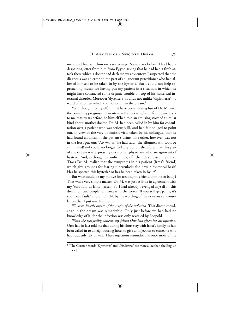ment and had sent him on a sea voyage. Some days before, I had had a despairing letter from him from Egypt, saying that he had had a fresh attack there which a doctor had declared was dysentery. I suspected that the diagnosis was an error on the part of an ignorant practitioner who had allowed himself to be taken in by the hysteria. But I could not help reproaching myself for having put my patient in a situation in which he might have contracted some organic trouble on top of his hysterical intestinal disorder. Moreover 'dysentery' sounds not unlike 'diphtheria'—a word of ill omen which did not occur in the dream.<sup>1</sup>

Yes, I thought to myself, I must have been making fun of Dr. M. with the consoling prognosis 'Dysentery will supervene,' etc.: for it came back to me that, years before, he himself had told an amusing story of a similar kind about another doctor. Dr. M. had been called in by him for consultation over a patient who was seriously ill, and had felt obliged to point out, in view of the very optimistic view taken by his colleague, that he had found albumen in the patient's urine. The other, however, was not in the least put out: '*No matter*,' he had said, 'the albumen will soon be eliminated!'—I could no longer feel any doubt, therefore, that this part of the dream was expressing derision at physicians who are ignorant of hysteria. And, as though to confirm this, a further idea crossed my mind: 'Does Dr. M. realize that the symptoms in his patient (Irma's friend) which give grounds for fearing tuberculosis also have a hysterical basis? Has he spotted this hysteria? or has he been taken in by it?'

But what could be my motive for treating this friend of mine so badly? That was a very simple matter. Dr. M. was just as little in agreement with my 'solution' as Irma herself. So I had already revenged myself in this dream on two people: on Irma with the words 'If you still get pains, it's your own fault,' and on Dr. M. by the wording of the nonsensical consolation that I put into his mouth.

*We were directly aware of the origin of the infection.* This direct knowledge in the dream was remarkable. Only just before we had had no knowledge of it, for the infection was only revealed by Leopold.

*When she was feeling unwell, my friend Otto had given her an injection.* Otto had in fact told me that during his short stay with Irma's family he had been called in to a neighbouring hotel to give an injection to someone who had suddenly felt unwell. These injections reminded me once more of my

<sup>1 [</sup>The German words '*Dysenterie*' and '*Diphtherie*' are more alike than the English ones.]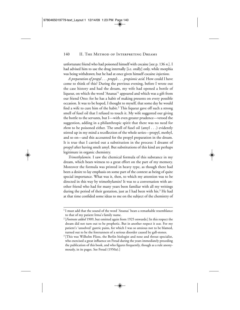unfortunate friend who had poisoned himself with cocaine [see p. 136 *n*.]. I had advised him to use the drug internally [i.e. orally] only, while morphia was being withdrawn; but he had at once given himself cocaine *injections.*

*A preparation of propyl . . . propyls . . . propionic acid.* How could I have come to think of this? During the previous evening, before I wrote out the case history and had the dream, my wife had opened a bottle of liqueur, on which the word 'Ananas'1 appeared and which was a gift from our friend Otto: for he has a habit of making presents on every possible occasion. It was to be hoped, I thought to myself, that some day he would find a wife to cure him of the habit.<sup>2</sup> This liqueur gave off such a strong smell of fusel oil that I refused to touch it. My wife suggested our giving the bottle to the servants, but I—with even greater prudence—vetoed the suggestion, adding in a philanthropic spirit that there was no need for *them* to be poisoned either. The smell of fusel oil (amyl . . .) evidently stirred up in my mind a recollection of the whole series—propyl, methyl, and so on—and this accounted for the propyl preparation in the dream. It is true that I carried out a substitution in the process: I dreamt of propyl after having smelt amyl. But substitutions of this kind are perhaps legitimate in organic chemistry.

*Trimethylamin.* I saw the chemical formula of this substance in my dream, which bears witness to a great effort on the part of my memory. Moreover the formula was printed in heavy type, as though there had been a desire to lay emphasis on some part of the context as being of quite special importance. What was it, then, to which my attention was to be directed in this way by trimethylamin? It was to a conversation with another friend who had for many years been familiar with all my writings during the period of their gestation, just as I had been with his.<sup>3</sup> He had at that time confided some ideas to me on the subject of the chemistry of

<sup>&</sup>lt;sup>1</sup> I must add that the sound of the word 'Ananas' bears a remarkable resemblance to that of my patient Irma's family name.

<sup>2 [</sup>*Footnote added* 1909, but omitted again from 1925 onwards:] In this respect the dream did not turn out to be prophetic. But in another respect it *was.* For my patient's 'unsolved' gastric pains, for which I was so anxious not to be blamed, turned out to be the forerunners of a serious disorder caused by gall-stones.

<sup>&</sup>lt;sup>3</sup> [This was Wilhelm Fliess, the Berlin biologist and nose and throat specialist, who exercised a great influence on Freud during the years immediately preceding the publication of this book, and who figures frequently, though as a rule anonymously, in its pages. See Freud (1950*a*).]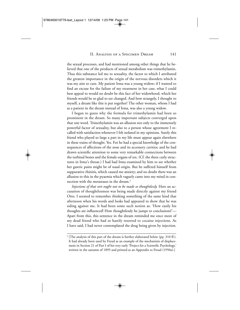the sexual processes, and had mentioned among other things that he believed that one of the products of sexual metabolism was trimethylamin. Thus this substance led me to sexuality, the factor to which I attributed the greatest importance in the origin of the nervous disorders which it was my aim to cure. My patient Irma was a young widow; if I wanted to find an excuse for the failure of my treatment in her case, what I could best appeal to would no doubt be this fact of her widowhood, which her friends would be so glad to see changed. And how strangely, I thought to myself, a dream like this is put together! The other woman, whom I had as a patient in the dream instead of Irma, was also a young widow.

I began to guess why the formula for trimethylamin had been so prominent in the dream. So many important subjects converged upon that one word. Trimethylamin was an allusion not only to the immensely powerful factor of sexuality, but also to a person whose agreement I recalled with satisfaction whenever I felt isolated in my opinions. Surely this friend who played so large a part in my life must appear again elsewhere in these trains of thought. Yes. For he had a special knowledge of the consequences of affections of the nose and its accessory cavities; and he had drawn scientific attention to some very remarkable connections between the turbinal bones and the female organs of sex. (Cf. the three curly structures in Irma's throat.) I had had Irma examined by him to see whether her gastric pains might be of nasal origin. But he suffered himself from suppurative rhinitis, which caused me anxiety; and no doubt there was an allusion to this in the pyaemia which vaguely came into my mind in connection with the metastases in the dream.<sup>1</sup>

*Injections of that sort ought not to be made so thoughtlessly.* Here an accusation of thoughtlessness was being made directly against my friend Otto. I seemed to remember thinking something of the same kind that afternoon when his words and looks had appeared to show that he was siding against me. It had been some such notion as: 'How easily his thoughts are influenced! How thoughtlessly he jumps to conclusions!'— Apart from this, this sentence in the dream reminded me once more of my dead friend who had so hastily resorted to cocaine injections. As I have said, I had never contemplated the drug being given by injection.

 $<sup>1</sup>$  [The analysis of this part of the dream is further elaborated below (pp. 310 ff.).</sup> It had already been used by Freud as an example of the mechanism of displacement in Section 21 of Part I of his very early 'Project for a Scientific Psychology,' written in the autumn of 1895 and printed as an Appendix to Freud (1950*a*).]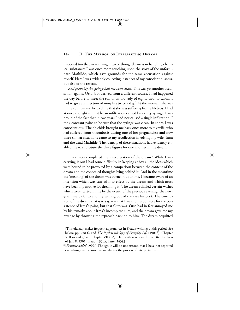I noticed too that in accusing Otto of thoughtlessness in handling chemical substances I was once more touching upon the story of the unfortunate Mathilde, which gave grounds for the same accusation against myself. Here I was evidently collecting instances of my conscientiousness, but also of the reverse.

*And probably the syringe had not been clean.* This was yet another accusation against Otto, but derived from a different source. I had happened the day before to meet the son of an old lady of eighty-two, to whom I had to give an injection of morphia twice a day.<sup>1</sup> At the moment she was in the country and he told me that she was suffering from phlebitis. I had at once thought it must be an infiltration caused by a dirty syringe. I was proud of the fact that in two years I had not caused a single infiltration; I took constant pains to be sure that the syringe was clean. In short, I was conscientious. The phlebitis brought me back once more to my wife, who had suffered from thrombosis during one of her pregnancies; and now three similar situations came to my recollection involving my wife, Irma and the dead Mathilde. The identity of these situations had evidently enabled me to substitute the three figures for one another in the dream.

I have now completed the interpretation of the dream.<sup>2</sup> While I was carrying it out I had some difficulty in keeping at bay all the ideas which were bound to be provoked by a comparison between the content of the dream and the concealed thoughts lying behind it. And in the meantime the 'meaning' of the dream was borne in upon me. I became aware of an intention which was carried into effect by the dream and which must have been my motive for dreaming it. The dream fulfilled certain wishes which were started in me by the events of the previous evening (the news given me by Otto and my writing out of the case history). The conclusion of the dream, that is to say, was that I was not responsible for the persistence of Irma's pains, but that Otto was. Otto had in fact annoyed me by his remarks about Irma's incomplete cure, and the dream gave me my revenge by throwing the reproach back on to him. The dream acquitted

<sup>&</sup>lt;sup>1</sup> [This old lady makes frequent appearances in Freud's writings at this period. See below, pp. 258 f., and *The Psychopathology of Everyday Life* (1901*b*), Chapter VIII *(b* and *g)* and Chapter VII (*Cb*)*.* Her death is reported in a letter to Fliess of July 8, 1901 (Freud, 1950*a*, Letter 145).]

<sup>2 [</sup>*Footnote added* 1909:] Though it will be understood that I have not reported everything that occurred to me during the process of interpretation.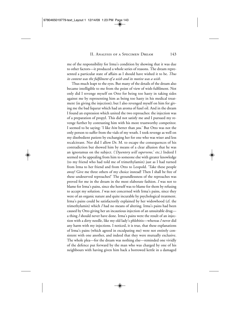me of the responsibility for Irma's condition by showing that it was due to other factors—it produced a whole series of reasons. The dream represented a particular state of affairs as I should have wished it to be. *Thus its content was the fulfilment of a wish and its motive was a wish.*

Thus much leapt to the eyes. But many of the details of the dream also became intelligible to me from the point of view of wish-fulfilment. Not only did I revenge myself on Otto for being too hasty in taking sides against me by representing him as being too hasty in his medical treatment (in giving the injection); but I also revenged myself on him for giving me the bad liqueur which had an aroma of fusel oil. And in the dream I found an expression which united the two reproaches: the injection was of a preparation of propyl. This did not satisfy me and I pursued my revenge further by contrasting him with his more trustworthy competitor. I seemed to be saying: 'I like *him* better than *you.*' But Otto was not the only person to suffer from the vials of my wrath. I took revenge as well on my disobedient patient by exchanging her for one who was wiser and less recalcitrant. Nor did I allow Dr. M. to escape the consequences of his contradiction but showed him by means of a clear allusion that he was an ignoramus on the subject. ('*Dysentery will supervene*,' etc.) Indeed I seemed to be appealing from him to someone else with greater knowledge (to my friend who had told me of trimethylamin) just as I had turned from Irma to her friend and from Otto to Leopold. 'Take these people away! Give me three others of my choice instead! Then I shall be free of these undeserved reproaches!' The groundlessness of the reproaches was proved for me in the dream in the most elaborate fashion. *I* was not to blame for Irma's pains, since she herself was to blame for them by refusing to accept my solution. *I* was not concerned with Irma's pains, since they were of an organic nature and quite incurable by psychological treatment. Irma's pains could be satisfactorily explained by her widowhood (cf. the trimethylamin) which *I* had no means of altering. Irma's pains had been caused by Otto giving her an incautious injection of an unsuitable drug a thing *I* should never have done. Irma's pains were the result of an injection with a dirty needle, like my old lady's phlebitis—whereas *I* never did any harm with my injections. I noticed, it is true, that these explanations of Irma's pains (which agreed in exculpating me) were not entirely consistent with one another, and indeed that they were mutually exclusive. The whole plea—for the dream was nothing else—reminded one vividly of the defence put forward by the man who was charged by one of his neighbours with having given him back a borrowed kettle in a damaged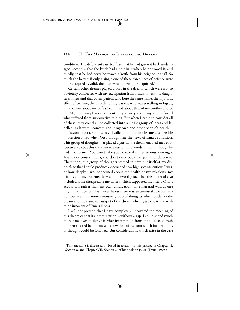condition. The defendant asserted first, that he had given it back undamaged; secondly, that the kettle had a hole in it when he borrowed it; and thirdly, that he had never borrowed a kettle from his neighbour at all. So much the better: if only a single one of these three lines of defence were to be accepted as valid, the man would have to be acquitted.<sup>1</sup>

Certain other themes played a part in the dream, which were not so obviously connected with my exculpation from Irma's illness: my daughter's illness and that of my patient who bore the same name, the injurious effect of cocaine, the disorder of my patient who was travelling in Egypt, my concern about my wife's health and about that of my brother and of Dr. M., my own physical ailments, my anxiety about my absent friend who suffered from suppurative rhinitis. But when I came to consider all of these, they could all be collected into a single group of ideas and labelled, as it were, 'concern about my own and other people's health professional conscientiousness.' I called to mind the obscure disagreeable impression I had when Otto brought me the news of Irma's condition. This group of thoughts that played a part in the dream enabled me retrospectively to put this transient impression into words. It was as though he had said to me: 'You don't take your medical duties seriously enough. You're not conscientious; you don't carry out what you've undertaken.' Thereupon, this group of thoughts seemed to have put itself at my disposal, so that I could produce evidence of how highly conscientious I was, of how deeply I was concerned about the health of my relations, my friends and my patients. It was a noteworthy fact that this material also included some disagreeable memories, which supported my friend Otto's accusation rather than my own vindication. The material was, as one might say, impartial; but nevertheless there was an unmistakable connection between this more extensive group of thoughts which underlay the dream and the narrower subject of the dream which gave rise to the wish to be innocent of Irma's illness.

I will not pretend that I have completely uncovered the meaning of this dream or that its interpretation is without a gap. I could spend much more time over it, derive further information from it and discuss fresh problems raised by it. I myself know the points from which further trains of thought could be followed. But considerations which arise in the case

<sup>&</sup>lt;sup>1</sup> [This anecdote is discussed by Freud in relation to this passage in Chapter II, Section 8, and Chapter VII, Section 2, of his book on jokes. (Freud, 1905*c*.)]